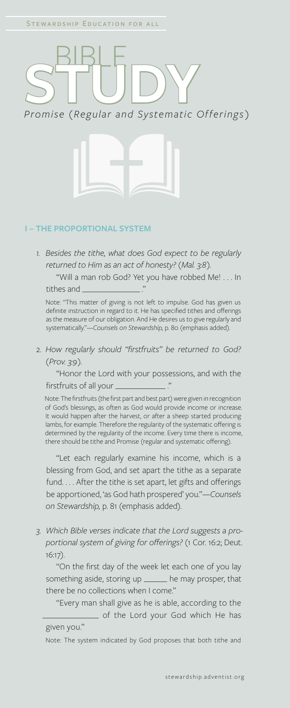## **STUDY** *Promise (Regular and Systematic Offerings)*



## **I – THE PROPORTIONAL SYSTEM**

*1. Besides the tithe, what does God expect to be regularly returned to Him as an act of honesty? (Mal. 3:8).*

"Will a man rob God? Yet you have robbed Me! . . . In tithes and \_

 Note: "This matter of giving is not left to impulse. God has given us definite instruction in regard to it. He has specified tithes and offerings as the measure of our obligation. And He desires us to give regularly and systematically."—*Counsels on Stewardship,* p. 80 (emphasis added).

2. *How regularly should "firstfruits" be returned to God? (Prov. 3:9).*

"Honor the Lord with your possessions, and with the firstfruits of all your .

 Note: The firstfruits (the first part and best part) were given in recognition of God's blessings, as often as God would provide income or increase. It would happen after the harvest, or after a sheep started producing lambs, for example. Therefore the regularity of the systematic offering is determined by the regularity of the income. Every time there is income, there should be tithe and Promise (regular and systematic offering).

 "Let each regularly examine his income, which is a blessing from God, and set apart the tithe as a separate fund. . . . After the tithe is set apart, let gifts and offerings be apportioned, 'as God hath prospered' you."—*Counsels on Stewardship,* p. 81 (emphasis added).

*3. Which Bible verses indicate that the Lord suggests a proportional system of giving for offerings?* (1 Cor. 16:2; Deut. 16:17).

"On the first day of the week let each one of you lay something aside, storing up \_\_\_\_\_\_ he may prosper, that there be no collections when I come."

"Every man shall give as he is able, according to the \_\_\_\_\_\_\_\_\_\_\_\_\_\_ of the Lord your God which He has

given you."

Note: The system indicated by God proposes that both tithe and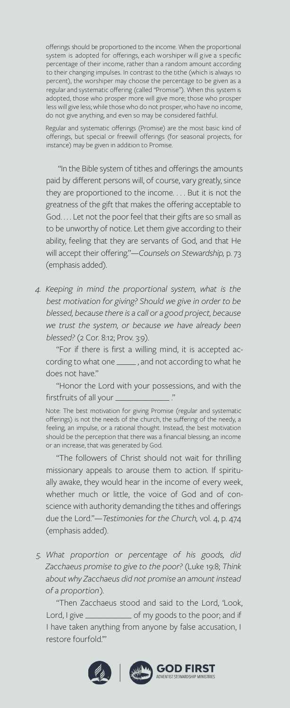offerings should be proportioned to the income. When the proportional system is adopted for offerings, each worshiper will give a specific percentage of their income, rather than a random amount according to their changing impulses. In contrast to the tithe (which is always 10 percent), the worshiper may choose the percentage to be given as a regular and systematic offering (called "Promise"). When this system is adopted, those who prosper more will give more; those who prosper less will give less; while those who do not prosper, who have no income, do not give anything, and even so may be considered faithful.

Regular and systematic offerings (Promise) are the most basic kind of offerings, but special or freewill offerings (for seasonal projects, for instance) may be given in addition to Promise.

"In the Bible system of tithes and offerings the amounts paid by different persons will, of course, vary greatly, since they are proportioned to the income. . . . But it is not the greatness of the gift that makes the offering acceptable to God. . . . Let not the poor feel that their gifts are so small as to be unworthy of notice. Let them give according to their ability, feeling that they are servants of God, and that He will accept their offering."—*Counsels on Stewardship,* p. 73 (emphasis added).

*4. Keeping in mind the proportional system, what is the best motivation for giving? Should we give in order to be blessed, because there is a call or a good project, because we trust the system, or because we have already been blessed?* (2 Cor. 8:12; Prov. 3:9).

"For if there is first a willing mind, it is accepted according to what one \_\_\_\_\_ , and not according to what he does not have."

"Honor the Lord with your possessions, and with the firstfruits of all your  $\equiv$ 

Note: The best motivation for giving Promise (regular and systematic offerings) is not the needs of the church, the suffering of the needy, a feeling, an impulse, or a rational thought. Instead, the best motivation should be the perception that there was a financial blessing, an income or an increase, that was generated by God.

"The followers of Christ should not wait for thrilling missionary appeals to arouse them to action. If spiritually awake, they would hear in the income of every week, whether much or little, the voice of God and of conscience with authority demanding the tithes and offerings due the Lord."—*Testimonies for the Church,* vol. 4, p. 474 (emphasis added).

*5. What proportion or percentage of his goods, did Zacchaeus promise to give to the poor?* (Luke 19:8; *Think about why Zacchaeus did not promise an amount instead of a proportion).*

"Then Zacchaeus stood and said to the Lord, 'Look, Lord, I give \_\_\_\_\_\_\_\_\_\_\_\_\_\_\_ of my goods to the poor; and if I have taken anything from anyone by false accusation, I restore fourfold.'"